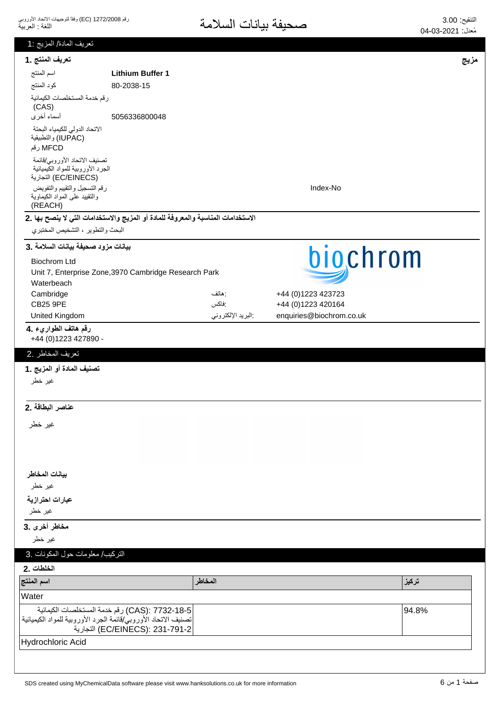| تعريف المادة/ المزيج :1                                           |                                                                                  |                   |                          |       |
|-------------------------------------------------------------------|----------------------------------------------------------------------------------|-------------------|--------------------------|-------|
| تعريف المنتج .1                                                   |                                                                                  |                   |                          | مزيج  |
| اسم المنتج                                                        | <b>Lithium Buffer 1</b>                                                          |                   |                          |       |
| كود المنتج                                                        | 80-2038-15                                                                       |                   |                          |       |
| رقم خدمة المستخلصات الكيمائية                                     |                                                                                  |                   |                          |       |
| (CAS)<br>أسماء أخرى                                               | 5056336800048                                                                    |                   |                          |       |
| الاتحاد الدولي للكيمياء البحتة                                    |                                                                                  |                   |                          |       |
| (IUPAC) والتطبيقية                                                |                                                                                  |                   |                          |       |
| MFCD رقم                                                          |                                                                                  |                   |                          |       |
| تصنيف الاتحاد الأوروبي/قائمة<br>الجرد الأوروبية للمواد الكيميائية |                                                                                  |                   |                          |       |
| (EC/EINECS) التجارية                                              |                                                                                  |                   |                          |       |
| رقم التسجيل والتقييم والتفويض<br>والتقييد علىى المواد الكيماوية   |                                                                                  |                   | Index-No                 |       |
| (REACH)                                                           |                                                                                  |                   |                          |       |
|                                                                   | الاستخدامات المناسبة والمعروفة للمادة أو المزيج والاستخدامات التي لا ينصح بها .2 |                   |                          |       |
| البحث والتطوير ، التشخيص المختبري                                 |                                                                                  |                   |                          |       |
| بيانات مزود صحيفة بيانات السلامة .3                               |                                                                                  |                   |                          |       |
| <b>Biochrom Ltd</b>                                               |                                                                                  |                   | biochrom                 |       |
|                                                                   | Unit 7, Enterprise Zone, 3970 Cambridge Research Park                            |                   |                          |       |
| Waterbeach<br>Cambridge                                           |                                                                                  | : هاتف            | +44 (0)1223 423723       |       |
| <b>CB25 9PE</b>                                                   |                                                                                  | :فاكس             | +44 (0)1223 420164       |       |
| United Kingdom                                                    |                                                                                  | البريد الإلكتروني | enquiries@biochrom.co.uk |       |
| رقم هاتف الطواريء .4<br>+44 (0) 1223 427890 -                     |                                                                                  |                   |                          |       |
| تعريف المخاطر .2                                                  |                                                                                  |                   |                          |       |
| تصنيف المادة أو المزيج .1                                         |                                                                                  |                   |                          |       |
| غير خطر                                                           |                                                                                  |                   |                          |       |
|                                                                   |                                                                                  |                   |                          |       |
| عناصر البطاقة .2                                                  |                                                                                  |                   |                          |       |
| غير خطر                                                           |                                                                                  |                   |                          |       |
|                                                                   |                                                                                  |                   |                          |       |
|                                                                   |                                                                                  |                   |                          |       |
|                                                                   |                                                                                  |                   |                          |       |
| بيانات المخاطر                                                    |                                                                                  |                   |                          |       |
| غير خطر                                                           |                                                                                  |                   |                          |       |
| عبارات احترازية                                                   |                                                                                  |                   |                          |       |
| غير خطر                                                           |                                                                                  |                   |                          |       |
| مخاطر أخرى .3                                                     |                                                                                  |                   |                          |       |
| غير خطر                                                           |                                                                                  |                   |                          |       |
| التركيب/ معلومات حول المكونات .3                                  |                                                                                  |                   |                          |       |
| الخلطات .2                                                        |                                                                                  |                   |                          |       |
| اسم المنتج                                                        |                                                                                  | المخاطر           |                          | تركيز |
| Water                                                             |                                                                                  |                   |                          |       |
|                                                                   | CAS): 7732-18-5) رقم خدمة المستخلصات الكيمائية                                   |                   |                          | 94.8% |
| تصنيف الاتحاد الأوروبي/قائمة الجرد الأوروبية للمواد الكيميائية    | EC/EINECS): 231-791-2) التجارية                                                  |                   |                          |       |
| Hydrochloric Acid                                                 |                                                                                  |                   |                          |       |
|                                                                   |                                                                                  |                   |                          |       |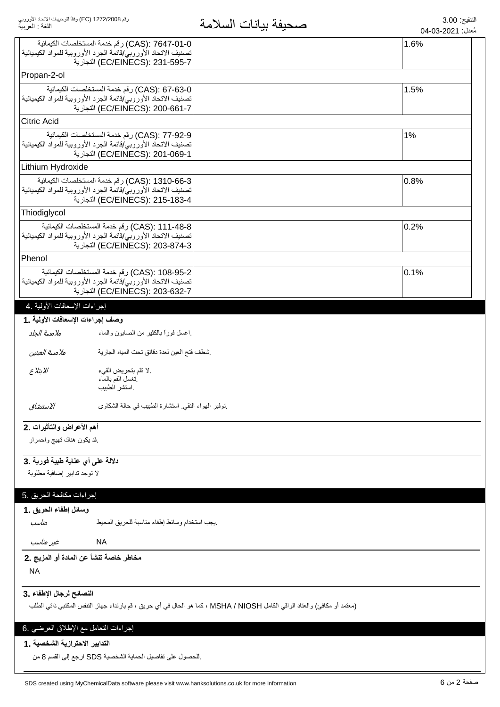| اللغة : العربية                      |                                                                                                                | صحيفه بيانات السكمة                                                                                                       | مُعدل: 2021-03-04 |
|--------------------------------------|----------------------------------------------------------------------------------------------------------------|---------------------------------------------------------------------------------------------------------------------------|-------------------|
|                                      | CAS): 7647-01-0) رقم خدمة المستخلصات الكيمائية                                                                 |                                                                                                                           | 1.6%              |
|                                      | تصنيف الاتحاد الأوروبي/قائمة الجرد الأوروبية للمواد الكيميائية                                                 |                                                                                                                           |                   |
|                                      | EC/EINECS): 231-595-7) التجارية                                                                                |                                                                                                                           |                   |
| Propan-2-ol                          |                                                                                                                |                                                                                                                           |                   |
|                                      | CAS): 67-63-0) رقم خدمة المستخلصات الكيمائية                                                                   |                                                                                                                           | 1.5%              |
|                                      | تصنيف الاتحاد الأوروبي/قائمة الجرد الأوروبية للمواد الكيميائية<br>EC/EINECS): 200-661-7) التجارية              |                                                                                                                           |                   |
| <b>Citric Acid</b>                   |                                                                                                                |                                                                                                                           |                   |
|                                      |                                                                                                                |                                                                                                                           |                   |
|                                      | CAS): 77-92-9) رقم خدمة المستخلصات الكيمائية<br>تصنيف الاتحاد الأوروبي/قائمة الجرد الأوروبية للمواد الكيميائية |                                                                                                                           | 1%                |
|                                      | EC/EINECS): 201-069-1) التجارية                                                                                |                                                                                                                           |                   |
| Lithium Hydroxide                    |                                                                                                                |                                                                                                                           |                   |
|                                      | CAS): 1310-66-3) رقم خدمة المستخلصات الكيمائية                                                                 |                                                                                                                           | 0.8%              |
|                                      | تصنيف الاتحاد الأوروبي/قائمة الجرد الأوروبية للمواد الكيميائية                                                 |                                                                                                                           |                   |
|                                      | EC/EINECS): 215-183-4) التجارية                                                                                |                                                                                                                           |                   |
| Thiodiglycol                         |                                                                                                                |                                                                                                                           |                   |
|                                      | CAS): 111-48-8) رقم خدمة المستخلصات الكيمائية                                                                  |                                                                                                                           | $ 0.2\%$          |
|                                      | تصنيف الاتحاد الأوروبي/قائمة الجرد الأوروبية للمواد الكيميائية                                                 |                                                                                                                           |                   |
|                                      | EC/EINECS): 203-874-3) التجارية                                                                                |                                                                                                                           |                   |
| Phenol                               |                                                                                                                |                                                                                                                           |                   |
|                                      | CAS): 108-95-2) رقم خدمة المستخلصات الكيمائية                                                                  |                                                                                                                           | 0.1%              |
|                                      | تصنيف الاتحاد الأوروبي/قائمة الجرد الأوروبية للمواد الكيميائية                                                 |                                                                                                                           |                   |
|                                      | EC/EINECS): 203-632-7) التجارية                                                                                |                                                                                                                           |                   |
| إجراءات الإسعافات الأولية .4         |                                                                                                                |                                                                                                                           |                   |
| وصف إجراءات الإسعافات الأولية .1     |                                                                                                                |                                                                                                                           |                   |
| ملامسة الجلد                         | اغسل فورأ بالكثير من الصابون والماء                                                                            |                                                                                                                           |                   |
| ملامسة العينين                       | شطف فتح العين لعدة دقائق تحت المياه الجارية                                                                    |                                                                                                                           |                   |
| الابتلاع                             | .لا نقم بتحريض القيء                                                                                           |                                                                                                                           |                   |
|                                      | نغسل الفم بالماء                                                                                               |                                                                                                                           |                   |
|                                      | استشر الطبيب                                                                                                   |                                                                                                                           |                   |
| الاستنشاق                            | توفير الهواء النقي استشارة الطبيب في حالة الشكاوى                                                              |                                                                                                                           |                   |
|                                      |                                                                                                                |                                                                                                                           |                   |
| أهم الأعراض والتأثيرات .2            |                                                                                                                |                                                                                                                           |                   |
| فد يكون هناك تهيج واحمرار            |                                                                                                                |                                                                                                                           |                   |
|                                      |                                                                                                                |                                                                                                                           |                   |
| دلالة على أي عناية طبية فورية .3     |                                                                                                                |                                                                                                                           |                   |
| لا توجد تدابير إضافية مطلوبة         |                                                                                                                |                                                                                                                           |                   |
|                                      |                                                                                                                |                                                                                                                           |                   |
| إجراءات مكافحة الحريق .5             |                                                                                                                |                                                                                                                           |                   |
| وسائل إطفاء الحريق .1                |                                                                                                                |                                                                                                                           |                   |
| مناسب                                | يجب استخدام وسائط إطفاء مناسبة للحريق المحيط                                                                   |                                                                                                                           |                   |
| غير مناسب                            | <b>NA</b>                                                                                                      |                                                                                                                           |                   |
|                                      | مخاطر خاصة تنشأ عن المادة أو المزيج .2                                                                         |                                                                                                                           |                   |
| <b>NA</b>                            |                                                                                                                |                                                                                                                           |                   |
| النصائح لرجال الإطفاء .3             |                                                                                                                |                                                                                                                           |                   |
|                                      |                                                                                                                | (معتمد أو مكافئ) والعتاد الواقي الكامل MSHA / NIOSH ، كما هو الحال في أي حريق ، قم بارتداء جهاز التنفس المكتبي ذاتي الطلب |                   |
|                                      |                                                                                                                |                                                                                                                           |                   |
| إجراءات النعامل مع الإطلاق العرضي .6 |                                                                                                                |                                                                                                                           |                   |
| التدابير الاحترازية الشخصية . 1      |                                                                                                                |                                                                                                                           |                   |
|                                      |                                                                                                                |                                                                                                                           |                   |

بالحصول على تفاصيل الحماية الشخصية SDS ارجع إلى القسم 8 من.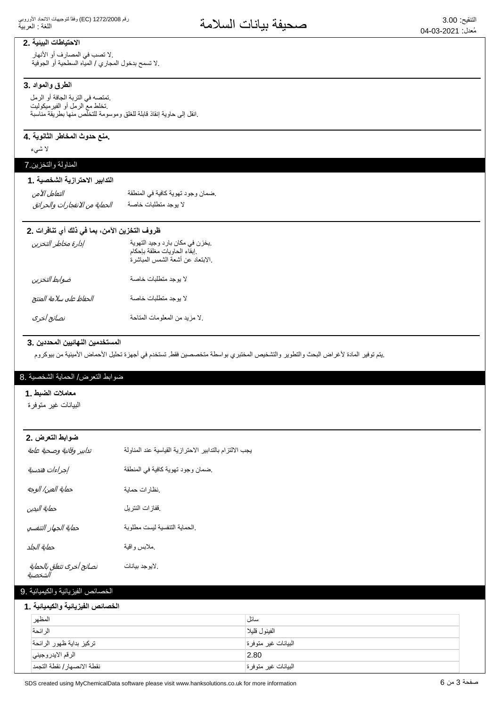## الاحتياطات البينية .2

.لا تصب في المصارف أو الأنهار لا تسمح بدخول المجاري / المياه السطحية أو الجوفية.

### الطرق والمواد .3

تمتصه في التربة الجافة أو الرمل تخلط مع الرمل أو الفيرميكوليت .انقل إلى حاوية إنقاذ قابلة للغلق وموسومة للتخلص منها بطريقة مناسبة

### منع حدوث المخاطر الثانوية .4

لا شىء

## المناولة والتخزين 7

| التدابير الاحترازية الشخصية . 1 |                                  |
|---------------------------------|----------------------------------|
| التعامل الآمن                   | ضمان وجود تهوية كافية في المنطقة |
| الحماية من الانفجارات والحرائق  | لا يوجد متطلبات خاصة             |

## ظروف التخزين الآمن، بما في ذلك أي تنافرات .2

| إدارة مخاطر التخزين     | يخزن في مكان بارد وجيد التهوية<br>إبقاء الحاويات مغلقة بإحكام.<br>الابتعاد عن أشعة الشمس المباشرة. |
|-------------------------|----------------------------------------------------------------------------------------------------|
| ضوابط التخزين           | لا بوجد متطلبات خاصة                                                                               |
| الحفاظ على سلامة المنتج | لا بوجد متطلبات خاصة                                                                               |
| نصائح أخرى              | لا مزيد من المعلومات المتاحة                                                                       |

### المستخدمين النها<sub>ئيين</sub> المحددين .3

ِيتم توفير المادة لأغراض البحث والتطوير والتشخيص المختبري بواسطة متخصصين فقط تستخدم في أجهزة تحليل الأحماض الأمينية من بيوكروم

## ضوابط النعرض/ الحماية الشخصية .8

| ضوابط التعرض .2                      |                                                         |  |
|--------------------------------------|---------------------------------------------------------|--|
| تدابير وقائية وصحية عامة             | يجب الالتزام بالتدابير الاحترازية القياسية عند المناولة |  |
| إجراءات هندسية                       | ضمان وجود تهوية كافية في المنطقة                        |  |
| حماية العين/ الوجه                   | نظارات حماية                                            |  |
| حماية اليدين                         | ففازات النتريل                                          |  |
| حماية الجهاز التنفسي                 | الحماية التنفسية ليست مطلوبة                            |  |
| حماية الجلد                          | ملابس واقية                                             |  |
| نصائح أخرى تتعلق بالحماية<br>الشخصية | .لايوجد بيانات                                          |  |

| المظهر                      | سائل                 |
|-----------------------------|----------------------|
| الر ائحة                    | الفينول قليلا        |
| تركيز بداية ظهور الرائحة    | البيانات غير متوفر ة |
| الرقم الايدر وجيني          | 2.80                 |
| نقطة الانصهار / نقطة التجمد | البيانات غير متوفرة  |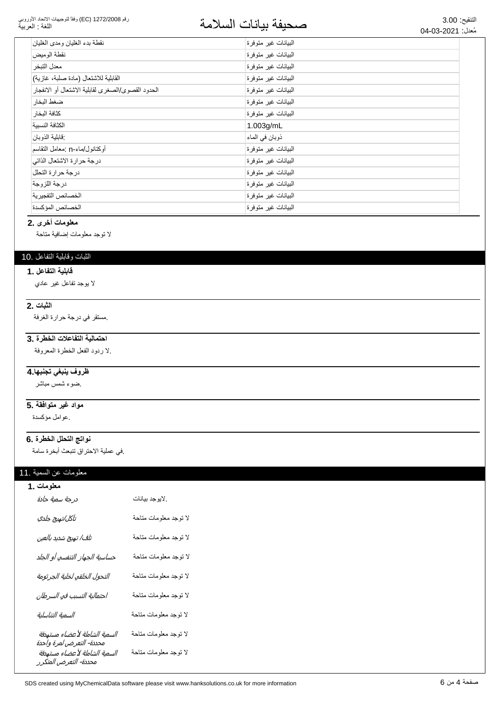#### رقم 1272/2008 (EC) وفقاً لتوجيهات الاتحاد الأوروبي اللغة : العربية

# التنقيع: 3.00<br>مُزار: 2021 02 ـ 209 مصطلحة المسلامة

| نقطة بدء الغليان ومدى الغليان                     | الىبيانات غير متوفرة |
|---------------------------------------------------|----------------------|
| نقطة الوميض                                       | البيانات غير متوفرة  |
| معدل التبخر                                       | البيانات غير متوفرة  |
| القابلية للاشتعال (مادة صلبة، غازية)              | البيانات غير متوفرة  |
| الحدود القصوى/الصغرى لقابلية الاشتعال أو الانفجار | البيانات غير متوفرة  |
| ضغط البخار                                        | البيانات غير متوفرة  |
| كثافة البخار                                      | البيانات غير متوفرة  |
| الكثافة النسبية                                   | $1.003$ g/mL         |
| فابلية الذوبان                                    | ذوبان في الماء       |
| أوكتانول/ماء-n :معامل التقاسم                     | البيانات غير متوفرة  |
| درجة حرارة الاشتعال الذاتي                        | البيانات غير متوفرة  |
| درجة حرارة التحلل                                 | الىبيانات غير متوفرة |
| درجة اللزوجة                                      | الىبيانات غير متوفرة |
| الخصائص التفجيرية                                 | البيانات غير متوفرة  |
| الخصائص المؤكسدة                                  | البيانات غير متوفرة  |
|                                                   |                      |

### **معلومات أخرى .2**

لا توجد معلومات إضافية متاحة

### الثبات وقابلية التفاعل .10

### **1. قابلية التفاعل**

لا بوجد نفاعل غير عادي

## **2.** الثبات

مستقر في درجة حرارة الغرفة.

## احتمالية التفاعلات الخطرة .3

لا ردود الفعل الخطرة المعروفة.

## <del>ظروف ينبغى تجنبها 4</del>

ضوء شمس مباشر

## مواد غير متوافقة .5

ِ عوامل مؤكسدة

### نواتج التحلل الخطرة .6

في عملية الاحتراق تتبعث أبخرة سامة.

### معلومات عن السمية .11

| معلومات .1                                                                         |                       |
|------------------------------------------------------------------------------------|-----------------------|
| درجة سمية حادة                                                                     | لايوجد بيانات         |
| تآكل/تهيج جلدي                                                                     | لا توجد معلومات متاحة |
| تلف/ تهيج شديد بالعين                                                              | لا توجد معلومات متاحة |
| حساسية الجهاز التنفسي أو الجلد                                                     | لا توجد معلومات متاحة |
| التحول الخلقي لخلية الجرثومة                                                       | لا توجد معلومات متاحة |
| احتمالية التسبب في السرطان                                                         | لا توجد معلومات متاحة |
| السمية التناسلية                                                                   | لا توجد معلومات متاحة |
| السمية الشاملة لأعضاء مستهدفة                                                      | لا توجد معلومات متاحة |
| محددة- التعرض لمرة واحدة<br>السمية الشاملة لأعضاء مستهدفة<br>محددة- التعرض المتكرر | لا توجد معلومات متاحة |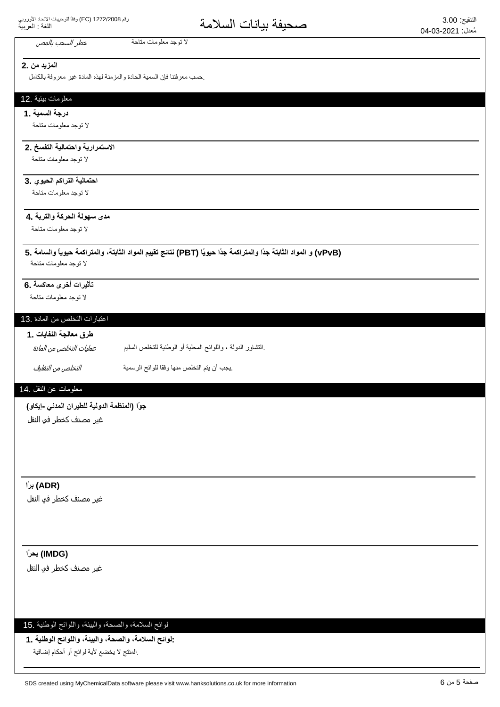## **المزيد من .2**

حسب معرفتنا فإن السمية الحادة والمزمنة لهذه المادة غير معروفة بالكامل

لا توجد معلومات متاحة مستخطر *السحب بالمص* 

### معلومات ببيئية .12

**درجة السمبة .1** 

لا توجد معلومات متاحة

## الاستمرارية واحتمالية التفسخ .2

لا توجد معلومات متاحة

## احتمالية التراكم الحيوي .3

لا توجد معلومات متاحة

### مدى سهولة الحركة والترية **.4**

لا توجد معلومات متاحة

### **5. ΔϣΎγϟϭ˱ΎϳϭϳΣΔϣϛέΗϣϟϭˬΔΗΑΎΛϟΩϭϣϟϡϳϳϘΗΞΎΗϧ (PBT) Ύ˱ϳϭϳΣ˱ΩΟΔϣϛέΗϣϟϭ˱ΩΟΔΗΑΎΛϟΩϭϣϟϭ (vPvB)** لا توجد معلومات متاحة

### تأثيرات أخرى معاكسة .6

لا توجد معلومات متاحة

### اعتبارات التخلص من المادة .13

طرق معالجة النفايا*ت* . 1

| عمليات التخلص من المادة | التشاور الدولة ، واللوائح المحلية أو الوطنية للتخلص السليم |
|-------------------------|------------------------------------------------------------|
|-------------------------|------------------------------------------------------------|

ͮ௬Ͼ̲௪̺͙ͳ̻ͧϾ̞௪̺͙ ΔϳϣγέϟϭϠϟΎϘϓϭΎϬϧϣιϠΧΗϟϡΗϳϥΏΟϳ.

### معلومات عن النقل .14

جوًا (المنظمة الدولية للطيرا*ن* المدن*ى -إيكاو)* 

غیر مصنف کخطر فو النقل

### **˱έΑ (ADR)**

غير مصنف كخطر في النقل

### **˱έΣΑ (IMDG)**

غير مصنف كخطر في النقل

### لوائح السلامة، والصحة، والبيئة، واللوائح الوطنية .15

-لوائح السلامة، والصحة، والبيئة، واللوائح الوطنية ـ1

المنتج لا يخضع لأية لوائح أو أحكام إضافية.